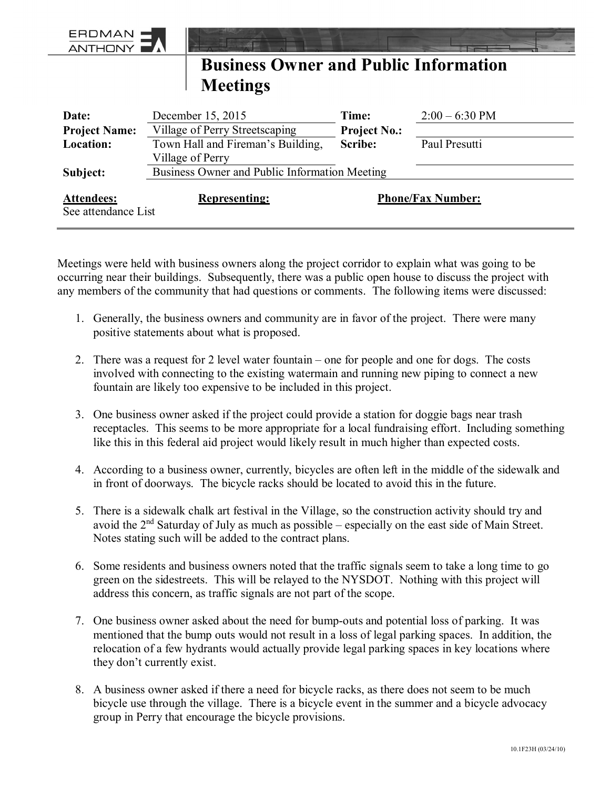| <b>ERDMAN</b><br><b>ANTHONY</b>                                                              |                                               |                     |                  |
|----------------------------------------------------------------------------------------------|-----------------------------------------------|---------------------|------------------|
| <b>Business Owner and Public Information</b>                                                 |                                               |                     |                  |
|                                                                                              | <b>Meetings</b>                               |                     |                  |
| Date:                                                                                        | December 15, 2015                             | Time:               | $2:00 - 6:30$ PM |
| <b>Project Name:</b>                                                                         | Village of Perry Streetscaping                | <b>Project No.:</b> |                  |
| Location:                                                                                    | Town Hall and Fireman's Building,             | <b>Scribe:</b>      | Paul Presutti    |
|                                                                                              | Village of Perry                              |                     |                  |
| Subject:                                                                                     | Business Owner and Public Information Meeting |                     |                  |
| <b>Phone/Fax Number:</b><br><b>Attendees:</b><br><b>Representing:</b><br>See attendance List |                                               |                     |                  |

Meetings were held with business owners along the project corridor to explain what was going to be occurring near their buildings. Subsequently, there was a public open house to discuss the project with any members of the community that had questions or comments. The following items were discussed:

- 1. Generally, the business owners and community are in favor of the project. There were many positive statements about what is proposed.
- 2. There was a request for 2 level water fountain one for people and one for dogs. The costs involved with connecting to the existing watermain and running new piping to connect a new fountain are likely too expensive to be included in this project.
- 3. One business owner asked if the project could provide a station for doggie bags near trash receptacles. This seems to be more appropriate for a local fundraising effort. Including something like this in this federal aid project would likely result in much higher than expected costs.
- 4. According to a business owner, currently, bicycles are often left in the middle of the sidewalk and in front of doorways. The bicycle racks should be located to avoid this in the future.
- 5. There is a sidewalk chalk art festival in the Village, so the construction activity should try and avoid the 2nd Saturday of July as much as possible – especially on the east side of Main Street. Notes stating such will be added to the contract plans.
- 6. Some residents and business owners noted that the traffic signals seem to take a long time to go green on the sidestreets. This will be relayed to the NYSDOT. Nothing with this project will address this concern, as traffic signals are not part of the scope.
- 7. One business owner asked about the need for bump-outs and potential loss of parking. It was mentioned that the bump outs would not result in a loss of legal parking spaces. In addition, the relocation of a few hydrants would actually provide legal parking spaces in key locations where they don't currently exist.
- 8. A business owner asked if there a need for bicycle racks, as there does not seem to be much bicycle use through the village. There is a bicycle event in the summer and a bicycle advocacy group in Perry that encourage the bicycle provisions.